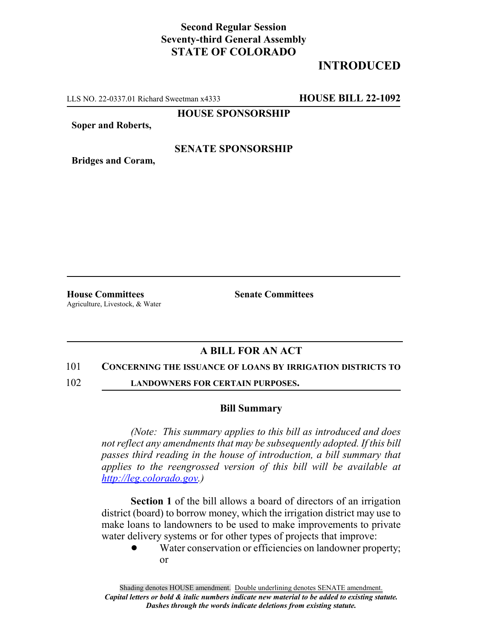## **Second Regular Session Seventy-third General Assembly STATE OF COLORADO**

# **INTRODUCED**

LLS NO. 22-0337.01 Richard Sweetman x4333 **HOUSE BILL 22-1092**

**HOUSE SPONSORSHIP**

**Soper and Roberts,**

### **SENATE SPONSORSHIP**

**Bridges and Coram,**

**House Committees Senate Committees** Agriculture, Livestock, & Water

### **A BILL FOR AN ACT**

#### 101 **CONCERNING THE ISSUANCE OF LOANS BY IRRIGATION DISTRICTS TO**

102 **LANDOWNERS FOR CERTAIN PURPOSES.**

#### **Bill Summary**

*(Note: This summary applies to this bill as introduced and does not reflect any amendments that may be subsequently adopted. If this bill passes third reading in the house of introduction, a bill summary that applies to the reengrossed version of this bill will be available at http://leg.colorado.gov.)*

**Section 1** of the bill allows a board of directors of an irrigation district (board) to borrow money, which the irrigation district may use to make loans to landowners to be used to make improvements to private water delivery systems or for other types of projects that improve:

> Water conservation or efficiencies on landowner property; or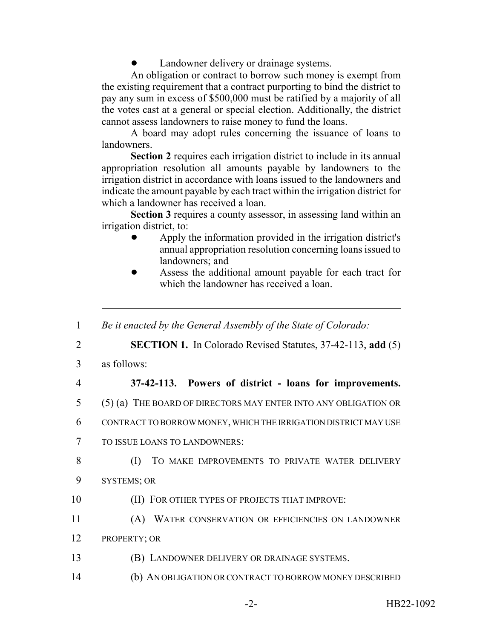Landowner delivery or drainage systems.

An obligation or contract to borrow such money is exempt from the existing requirement that a contract purporting to bind the district to pay any sum in excess of \$500,000 must be ratified by a majority of all the votes cast at a general or special election. Additionally, the district cannot assess landowners to raise money to fund the loans.

A board may adopt rules concerning the issuance of loans to landowners.

**Section 2** requires each irrigation district to include in its annual appropriation resolution all amounts payable by landowners to the irrigation district in accordance with loans issued to the landowners and indicate the amount payable by each tract within the irrigation district for which a landowner has received a loan.

**Section 3** requires a county assessor, in assessing land within an irrigation district, to:

- ! Apply the information provided in the irrigation district's annual appropriation resolution concerning loans issued to landowners; and
- ! Assess the additional amount payable for each tract for which the landowner has received a loan.
- 1 *Be it enacted by the General Assembly of the State of Colorado:* 2 **SECTION 1.** In Colorado Revised Statutes, 37-42-113, **add** (5) 3 as follows: 4 **37-42-113. Powers of district - loans for improvements.** 5 (5) (a) THE BOARD OF DIRECTORS MAY ENTER INTO ANY OBLIGATION OR 6 CONTRACT TO BORROW MONEY, WHICH THE IRRIGATION DISTRICT MAY USE 7 TO ISSUE LOANS TO LANDOWNERS: 8 (I) TO MAKE IMPROVEMENTS TO PRIVATE WATER DELIVERY 9 SYSTEMS; OR 10 **(II) FOR OTHER TYPES OF PROJECTS THAT IMPROVE:** 11 (A) WATER CONSERVATION OR EFFICIENCIES ON LANDOWNER 12 PROPERTY; OR 13 (B) LANDOWNER DELIVERY OR DRAINAGE SYSTEMS. 14 (b) AN OBLIGATION OR CONTRACT TO BORROW MONEY DESCRIBED -2- HB22-1092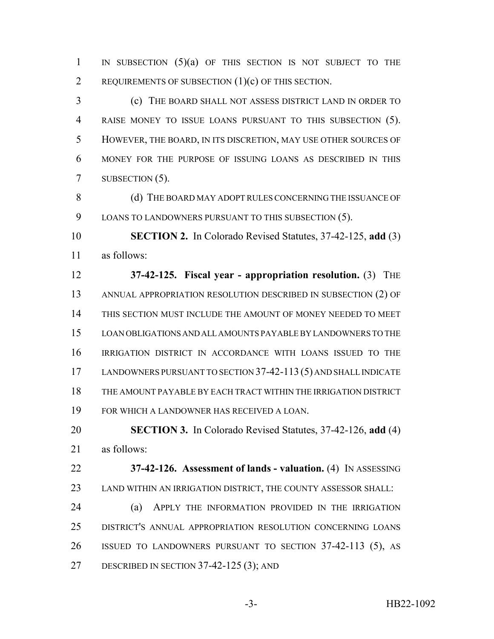1 IN SUBSECTION  $(5)(a)$  of this section is not subject to the REQUIREMENTS OF SUBSECTION (1)(c) OF THIS SECTION.

 (c) THE BOARD SHALL NOT ASSESS DISTRICT LAND IN ORDER TO RAISE MONEY TO ISSUE LOANS PURSUANT TO THIS SUBSECTION (5). HOWEVER, THE BOARD, IN ITS DISCRETION, MAY USE OTHER SOURCES OF MONEY FOR THE PURPOSE OF ISSUING LOANS AS DESCRIBED IN THIS 7 SUBSECTION (5).

8 (d) THE BOARD MAY ADOPT RULES CONCERNING THE ISSUANCE OF 9 LOANS TO LANDOWNERS PURSUANT TO THIS SUBSECTION (5).

 **SECTION 2.** In Colorado Revised Statutes, 37-42-125, **add** (3) as follows:

 **37-42-125. Fiscal year - appropriation resolution.** (3) THE ANNUAL APPROPRIATION RESOLUTION DESCRIBED IN SUBSECTION (2) OF THIS SECTION MUST INCLUDE THE AMOUNT OF MONEY NEEDED TO MEET LOAN OBLIGATIONS AND ALL AMOUNTS PAYABLE BY LANDOWNERS TO THE IRRIGATION DISTRICT IN ACCORDANCE WITH LOANS ISSUED TO THE LANDOWNERS PURSUANT TO SECTION 37-42-113 (5) AND SHALL INDICATE THE AMOUNT PAYABLE BY EACH TRACT WITHIN THE IRRIGATION DISTRICT FOR WHICH A LANDOWNER HAS RECEIVED A LOAN.

 **SECTION 3.** In Colorado Revised Statutes, 37-42-126, **add** (4) as follows:

 **37-42-126. Assessment of lands - valuation.** (4) IN ASSESSING LAND WITHIN AN IRRIGATION DISTRICT, THE COUNTY ASSESSOR SHALL:

 (a) APPLY THE INFORMATION PROVIDED IN THE IRRIGATION DISTRICT'S ANNUAL APPROPRIATION RESOLUTION CONCERNING LOANS ISSUED TO LANDOWNERS PURSUANT TO SECTION 37-42-113 (5), AS 27 DESCRIBED IN SECTION 37-42-125 (3); AND